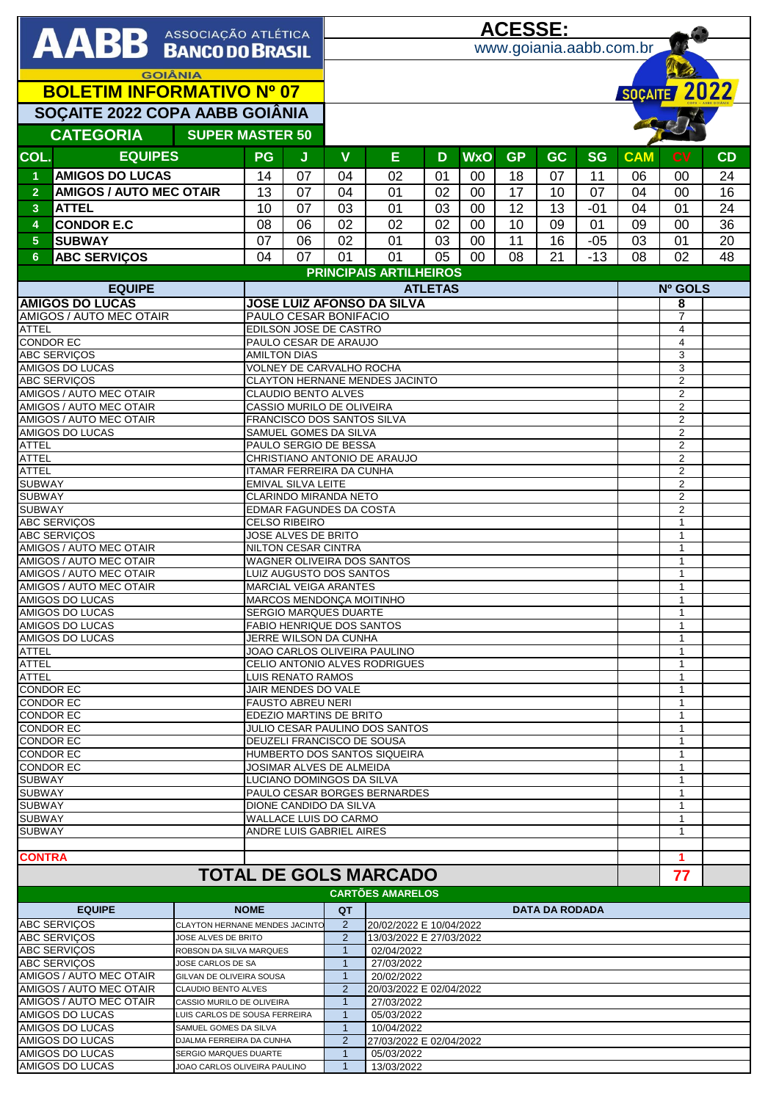|                                                                                  |                                                    |                                |                                                          | <b>ACESSE:</b>                                         |                                                          |                                  |    |              |           |                       |           |              |                                  |    |  |  |
|----------------------------------------------------------------------------------|----------------------------------------------------|--------------------------------|----------------------------------------------------------|--------------------------------------------------------|----------------------------------------------------------|----------------------------------|----|--------------|-----------|-----------------------|-----------|--------------|----------------------------------|----|--|--|
| <b>AABB</b> ASSOCIAÇÃO ATLÉTICA                                                  |                                                    |                                |                                                          |                                                        |                                                          | www.goiania.aabb.com.br          |    |              |           |                       |           |              |                                  |    |  |  |
|                                                                                  |                                                    |                                |                                                          |                                                        |                                                          |                                  |    |              |           |                       |           |              |                                  |    |  |  |
| <b>GOIÂNIA</b>                                                                   |                                                    |                                |                                                          |                                                        |                                                          |                                  |    |              |           |                       |           |              |                                  |    |  |  |
| <b>BOLETIM INFORMATIVO Nº 07</b>                                                 |                                                    |                                |                                                          |                                                        |                                                          |                                  |    |              |           |                       |           | SOÇAITE 2022 |                                  |    |  |  |
| SOÇAITE 2022 COPA AABB GOIÂNIA                                                   |                                                    |                                |                                                          |                                                        |                                                          |                                  |    |              |           |                       |           |              |                                  |    |  |  |
|                                                                                  |                                                    |                                |                                                          |                                                        |                                                          |                                  |    |              |           |                       |           |              |                                  |    |  |  |
|                                                                                  | <b>CATEGORIA</b>                                   | <b>SUPER MASTER 50</b>         |                                                          |                                                        |                                                          |                                  |    |              |           |                       |           |              |                                  |    |  |  |
| COL.                                                                             | <b>EQUIPES</b>                                     |                                | <b>PG</b>                                                | J                                                      | $\mathbf v$                                              | E                                | D  | <b>WxO</b>   | <b>GP</b> | <b>GC</b>             | <b>SG</b> | <b>CAM</b>   | <b>CV</b>                        | CD |  |  |
| 1                                                                                | <b>AMIGOS DO LUCAS</b>                             |                                | 14                                                       | 07                                                     | 04                                                       | 02                               | 01 | $00\,$       | 18        | 07                    | 11        | 06           | 00                               | 24 |  |  |
| $\overline{2}$                                                                   | <b>AMIGOS / AUTO MEC OTAIR</b>                     |                                | 13                                                       | 07                                                     | 04                                                       | 01                               | 02 | 00           | 17        | 10                    | 07        | 04           | 00                               | 16 |  |  |
| $\mathbf{3}$                                                                     | <b>ATTEL</b>                                       |                                | 10                                                       | 07                                                     | 03                                                       | 01                               | 03 | 00           | 12        | 13                    | $-01$     | 04           | 01                               | 24 |  |  |
| 4                                                                                | <b>CONDOR E.C</b>                                  |                                | 08                                                       | 06                                                     | 02                                                       | 02                               | 02 | 00           | 10        | 09                    | 01        | 09           | 00                               | 36 |  |  |
|                                                                                  |                                                    |                                |                                                          |                                                        |                                                          |                                  |    |              |           |                       |           |              |                                  |    |  |  |
| 5 <sup>5</sup>                                                                   | <b>SUBWAY</b>                                      |                                | 07                                                       | 06                                                     | 02                                                       | 01                               | 03 | 00           | 11        | 16                    | $-05$     | 03           | 01                               | 20 |  |  |
| 6                                                                                | <b>ABC SERVIÇOS</b>                                |                                | 04                                                       | 07                                                     | 01                                                       | 01                               | 05 | 00           | 08        | 21                    | $-13$     | 08           | 02                               | 48 |  |  |
|                                                                                  |                                                    |                                |                                                          |                                                        | <b>PRINCIPAIS ARTILHEIROS</b>                            |                                  |    |              |           |                       |           |              |                                  |    |  |  |
| <b>EQUIPE</b>                                                                    |                                                    |                                |                                                          | <b>ATLETAS</b>                                         |                                                          |                                  |    |              |           |                       |           |              | Nº GOLS                          |    |  |  |
| <b>AMIGOS DO LUCAS</b><br>AMIGOS / AUTO MEC OTAIR                                |                                                    |                                | <b>JOSE LUIZ AFONSO DA SILVA</b>                         |                                                        |                                                          |                                  |    |              |           |                       |           |              | 8<br>$\overline{7}$              |    |  |  |
| <b>ATTEL</b>                                                                     |                                                    |                                | PAULO CESAR BONIFACIO<br>EDILSON JOSE DE CASTRO          |                                                        |                                                          |                                  |    |              |           |                       |           |              | $\overline{4}$                   |    |  |  |
| <b>CONDOR EC</b>                                                                 |                                                    |                                |                                                          | PAULO CESAR DE ARAUJO                                  |                                                          |                                  |    |              |           |                       |           |              | $\overline{4}$                   |    |  |  |
|                                                                                  | <b>ABC SERVIÇOS</b>                                |                                | <b>AMILTON DIAS</b>                                      |                                                        |                                                          |                                  |    |              |           |                       |           |              | 3                                |    |  |  |
|                                                                                  | AMIGOS DO LUCAS                                    |                                |                                                          | <b>VOLNEY DE CARVALHO ROCHA</b>                        |                                                          |                                  |    |              |           |                       |           |              | 3                                |    |  |  |
|                                                                                  | <b>ABC SERVIÇOS</b>                                |                                |                                                          |                                                        |                                                          | CLAYTON HERNANE MENDES JACINTO   |    |              |           |                       |           |              | $\mathbf 2$                      |    |  |  |
|                                                                                  | <b>AMIGOS / AUTO MEC OTAIR</b>                     |                                |                                                          | <b>CLAUDIO BENTO ALVES</b>                             |                                                          |                                  |    |              |           |                       |           |              | $\overline{2}$                   |    |  |  |
|                                                                                  | AMIGOS / AUTO MEC OTAIR<br>AMIGOS / AUTO MEC OTAIR |                                | CASSIO MURILO DE OLIVEIRA                                |                                                        |                                                          |                                  |    |              |           |                       |           |              | $\overline{2}$<br>$\overline{2}$ |    |  |  |
|                                                                                  | AMIGOS DO LUCAS                                    |                                |                                                          | FRANCISCO DOS SANTOS SILVA<br>SAMUEL GOMES DA SILVA    |                                                          |                                  |    |              |           |                       |           |              |                                  |    |  |  |
| <b>ATTEL</b>                                                                     |                                                    |                                |                                                          | PAULO SERGIO DE BESSA                                  |                                                          | $\overline{2}$<br>$\overline{2}$ |    |              |           |                       |           |              |                                  |    |  |  |
| <b>ATTEL</b>                                                                     |                                                    |                                |                                                          | CHRISTIANO ANTONIO DE ARAUJO                           |                                                          | $\overline{2}$                   |    |              |           |                       |           |              |                                  |    |  |  |
| <b>ATTEL</b>                                                                     |                                                    |                                | ITAMAR FERREIRA DA CUNHA                                 |                                                        | $\overline{2}$                                           |                                  |    |              |           |                       |           |              |                                  |    |  |  |
| <b>SUBWAY</b>                                                                    |                                                    |                                |                                                          | <b>EMIVAL SILVA LEITE</b>                              |                                                          | $\overline{2}$                   |    |              |           |                       |           |              |                                  |    |  |  |
| <b>SUBWAY</b><br><b>SUBWAY</b>                                                   |                                                    |                                |                                                          | <b>CLARINDO MIRANDA NETO</b>                           |                                                          | $\overline{2}$<br>$\overline{2}$ |    |              |           |                       |           |              |                                  |    |  |  |
|                                                                                  |                                                    |                                |                                                          | EDMAR FAGUNDES DA COSTA<br><b>CELSO RIBEIRO</b>        |                                                          | $\mathbf{1}$                     |    |              |           |                       |           |              |                                  |    |  |  |
| <b>ABC SERVIÇOS</b><br><b>ABC SERVIÇOS</b>                                       |                                                    |                                |                                                          | JOSE ALVES DE BRITO                                    |                                                          | $\mathbf{1}$                     |    |              |           |                       |           |              |                                  |    |  |  |
|                                                                                  | <b>AMIGOS / AUTO MEC OTAIR</b>                     | <b>NILTON CESAR CINTRA</b>     |                                                          |                                                        |                                                          |                                  |    |              |           |                       |           | $\mathbf{1}$ |                                  |    |  |  |
|                                                                                  | AMIGOS / AUTO MEC OTAIR                            |                                | WAGNER OLIVEIRA DOS SANTOS                               |                                                        | $\mathbf{1}$                                             |                                  |    |              |           |                       |           |              |                                  |    |  |  |
|                                                                                  | AMIGOS / AUTO MEC OTAIR                            |                                | LUIZ AUGUSTO DOS SANTOS                                  |                                                        | $\mathbf{1}$                                             |                                  |    |              |           |                       |           |              |                                  |    |  |  |
|                                                                                  | AMIGOS / AUTO MEC OTAIR                            |                                | <b>MARCIAL VEIGA ARANTES</b>                             |                                                        | $\mathbf{1}$<br>$\mathbf{1}$                             |                                  |    |              |           |                       |           |              |                                  |    |  |  |
| <b>AMIGOS DO LUCAS</b><br>AMIGOS DO LUCAS                                        |                                                    |                                | MARCOS MENDONÇA MOITINHO<br><b>SERGIO MARQUES DUARTE</b> |                                                        |                                                          |                                  |    |              |           |                       |           |              | $\mathbf{1}$                     |    |  |  |
| AMIGOS DO LUCAS                                                                  |                                                    |                                |                                                          | <b>FABIO HENRIQUE DOS SANTOS</b>                       |                                                          | $\mathbf{1}$                     |    |              |           |                       |           |              |                                  |    |  |  |
| AMIGOS DO LUCAS                                                                  |                                                    |                                | JERRE WILSON DA CUNHA                                    |                                                        |                                                          |                                  |    |              |           |                       |           |              | $\mathbf{1}$                     |    |  |  |
| <b>ATTEL</b>                                                                     |                                                    |                                | JOAO CARLOS OLIVEIRA PAULINO                             |                                                        |                                                          |                                  |    |              |           |                       |           |              | $\mathbf{1}$                     |    |  |  |
| <b>ATTEL</b>                                                                     |                                                    |                                |                                                          | CELIO ANTONIO ALVES RODRIGUES                          |                                                          | 1                                |    |              |           |                       |           |              |                                  |    |  |  |
| <b>ATTEL</b>                                                                     |                                                    |                                | <b>LUIS RENATO RAMOS</b>                                 |                                                        |                                                          |                                  |    |              |           |                       |           |              | $\mathbf{1}$                     |    |  |  |
| <b>CONDOR EC</b><br><b>CONDOR EC</b>                                             |                                                    |                                | JAIR MENDES DO VALE<br><b>FAUSTO ABREU NERI</b>          |                                                        |                                                          |                                  |    |              |           |                       |           |              | 1<br>$\mathbf{1}$                |    |  |  |
| <b>CONDOR EC</b>                                                                 |                                                    |                                | EDEZIO MARTINS DE BRITO                                  |                                                        |                                                          |                                  |    |              |           |                       |           |              | $\mathbf{1}$                     |    |  |  |
| <b>CONDOR EC</b>                                                                 |                                                    |                                | JULIO CESAR PAULINO DOS SANTOS                           |                                                        |                                                          |                                  |    |              |           |                       |           |              | 1                                |    |  |  |
| <b>CONDOR EC</b>                                                                 |                                                    |                                | DEUZELI FRANCISCO DE SOUSA                               |                                                        |                                                          |                                  |    |              |           |                       |           |              | $\mathbf{1}$                     |    |  |  |
| <b>CONDOR EC</b>                                                                 |                                                    |                                |                                                          | HUMBERTO DOS SANTOS SIQUEIRA                           |                                                          | $\mathbf{1}$                     |    |              |           |                       |           |              |                                  |    |  |  |
| <b>CONDOR EC</b>                                                                 |                                                    |                                |                                                          | JOSIMAR ALVES DE ALMEIDA                               |                                                          | 1                                |    |              |           |                       |           |              |                                  |    |  |  |
| <b>SUBWAY</b>                                                                    |                                                    |                                |                                                          | LUCIANO DOMINGOS DA SILVA                              |                                                          | $\mathbf{1}$                     |    |              |           |                       |           |              |                                  |    |  |  |
| <b>SUBWAY</b>                                                                    |                                                    |                                |                                                          | PAULO CESAR BORGES BERNARDES<br>DIONE CANDIDO DA SILVA |                                                          | 1<br>1                           |    |              |           |                       |           |              |                                  |    |  |  |
| <b>SUBWAY</b><br><b>SUBWAY</b>                                                   |                                                    |                                |                                                          | WALLACE LUIS DO CARMO                                  |                                                          | $\mathbf{1}$                     |    |              |           |                       |           |              |                                  |    |  |  |
| <b>SUBWAY</b>                                                                    |                                                    |                                |                                                          | ANDRE LUIS GABRIEL AIRES                               |                                                          |                                  |    | $\mathbf{1}$ |           |                       |           |              |                                  |    |  |  |
|                                                                                  |                                                    |                                |                                                          |                                                        |                                                          |                                  |    |              |           |                       |           |              |                                  |    |  |  |
| <b>CONTRA</b>                                                                    |                                                    |                                |                                                          |                                                        |                                                          |                                  |    |              |           |                       |           |              | 1                                |    |  |  |
|                                                                                  |                                                    |                                |                                                          |                                                        |                                                          | <b>TOTAL DE GOLS MARCADO</b>     |    |              |           |                       |           |              | 77                               |    |  |  |
|                                                                                  |                                                    |                                |                                                          |                                                        |                                                          | <b>CARTÕES AMARELOS</b>          |    |              |           |                       |           |              |                                  |    |  |  |
|                                                                                  | <b>EQUIPE</b>                                      |                                | <b>NOME</b>                                              |                                                        | QT                                                       |                                  |    |              |           | <b>DATA DA RODADA</b> |           |              |                                  |    |  |  |
|                                                                                  | <b>ABC SERVICOS</b>                                | CLAYTON HERNANE MENDES JACINTO |                                                          |                                                        | 2                                                        | 20/02/2022 E 10/04/2022          |    |              |           |                       |           |              |                                  |    |  |  |
|                                                                                  | <b>ABC SERVIÇOS</b>                                | JOSE ALVES DE BRITO            |                                                          |                                                        | 2                                                        | 13/03/2022 E 27/03/2022          |    |              |           |                       |           |              |                                  |    |  |  |
| <b>ABC SERVIÇOS</b><br>ROBSON DA SILVA MARQUES                                   |                                                    |                                |                                                          |                                                        | $\mathbf{1}$<br>02/04/2022                               |                                  |    |              |           |                       |           |              |                                  |    |  |  |
| <b>ABC SERVIÇOS</b><br>JOSE CARLOS DE SA                                         |                                                    |                                |                                                          |                                                        | 27/03/2022<br>$\mathbf{1}$                               |                                  |    |              |           |                       |           |              |                                  |    |  |  |
| AMIGOS / AUTO MEC OTAIR<br>GILVAN DE OLIVEIRA SOUSA                              |                                                    |                                |                                                          |                                                        | $\mathbf{1}$                                             | 20/02/2022                       |    |              |           |                       |           |              |                                  |    |  |  |
| AMIGOS / AUTO MEC OTAIR<br><b>CLAUDIO BENTO ALVES</b><br>AMIGOS / AUTO MEC OTAIR |                                                    |                                |                                                          |                                                        | $\overline{2}$                                           | 20/03/2022 E 02/04/2022          |    |              |           |                       |           |              |                                  |    |  |  |
| CASSIO MURILO DE OLIVEIRA<br>AMIGOS DO LUCAS<br>LUIS CARLOS DE SOUSA FERREIRA    |                                                    |                                |                                                          |                                                        | 27/03/2022<br>$\mathbf{1}$<br>$\mathbf{1}$<br>05/03/2022 |                                  |    |              |           |                       |           |              |                                  |    |  |  |
| AMIGOS DO LUCAS<br>SAMUEL GOMES DA SILVA                                         |                                                    |                                |                                                          |                                                        | $\mathbf{1}$<br>10/04/2022                               |                                  |    |              |           |                       |           |              |                                  |    |  |  |
| AMIGOS DO LUCAS<br>DJALMA FERREIRA DA CUNHA                                      |                                                    |                                |                                                          |                                                        | $\overline{2}$                                           | 27/03/2022 E 02/04/2022          |    |              |           |                       |           |              |                                  |    |  |  |
|                                                                                  | AMIGOS DO LUCAS                                    | SERGIO MARQUES DUARTE          |                                                          | $\mathbf{1}$<br>05/03/2022                             |                                                          |                                  |    |              |           |                       |           |              |                                  |    |  |  |
| AMIGOS DO LUCAS<br>JOAO CARLOS OLIVEIRA PAULINO                                  |                                                    |                                |                                                          |                                                        | $\mathbf{1}$                                             | 13/03/2022                       |    |              |           |                       |           |              |                                  |    |  |  |